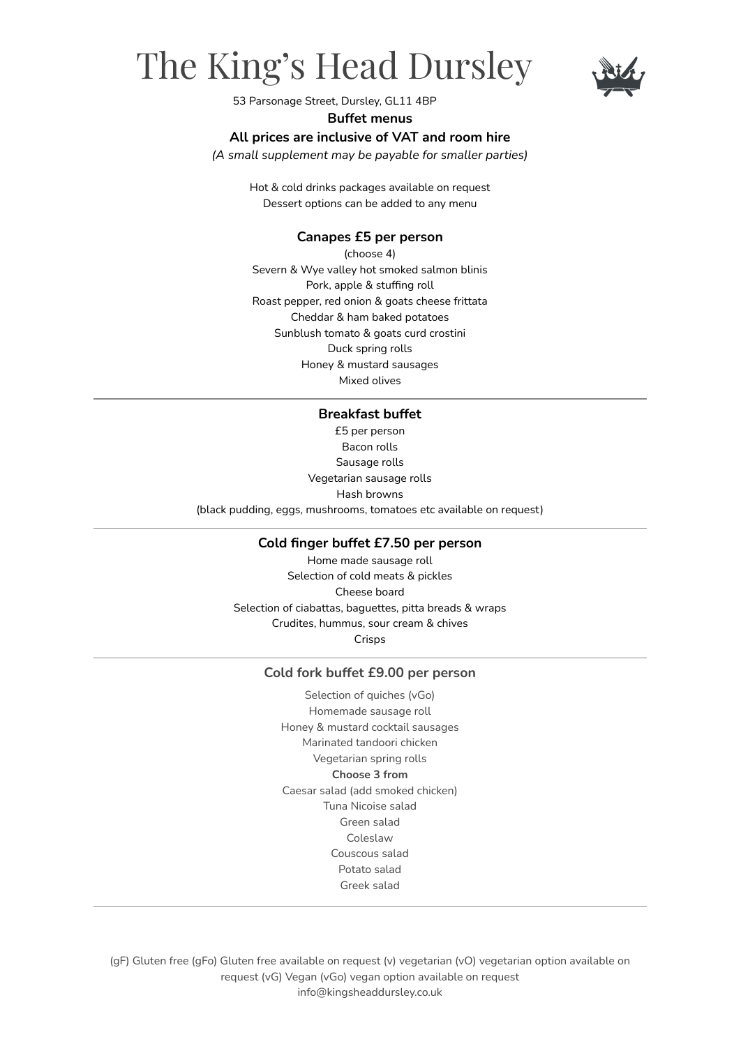# The King's Head Dursley



53 Parsonage Street, Dursley, GL11 4BP

#### **Buffet menus**

### **All prices are inclusive of VAT and room hire**

*(A small supplement may be payable for smaller parties)*

Hot & cold drinks packages available on request Dessert options can be added to any menu

#### **Canapes £5 per person**

(choose 4) Severn & Wye valley hot smoked salmon blinis Pork, apple & stuffing roll Roast pepper, red onion & goats cheese frittata Cheddar & ham baked potatoes Sunblush tomato & goats curd crostini Duck spring rolls Honey & mustard sausages Mixed olives

### **Breakfast buffet**

£5 per person Bacon rolls Sausage rolls Vegetarian sausage rolls Hash browns (black pudding, eggs, mushrooms, tomatoes etc available on request)

#### **Cold finger buffet £7.50 per person**

Home made sausage roll Selection of cold meats & pickles Cheese board Selection of ciabattas, baguettes, pitta breads & wraps Crudites, hummus, sour cream & chives Crisps

#### **Cold fork buffet £9.00 per person**

Selection of quiches (vGo) Homemade sausage roll Honey & mustard cocktail sausages Marinated tandoori chicken Vegetarian spring rolls **Choose 3 from** Caesar salad (add smoked chicken) Tuna Nicoise salad Green salad Coleslaw Couscous salad Potato salad Greek salad

(gF) Gluten free (gFo) Gluten free available on request (v) vegetarian (vO) vegetarian option available on request (vG) Vegan (vGo) vegan option available on request info@kingsheaddursley.co.uk